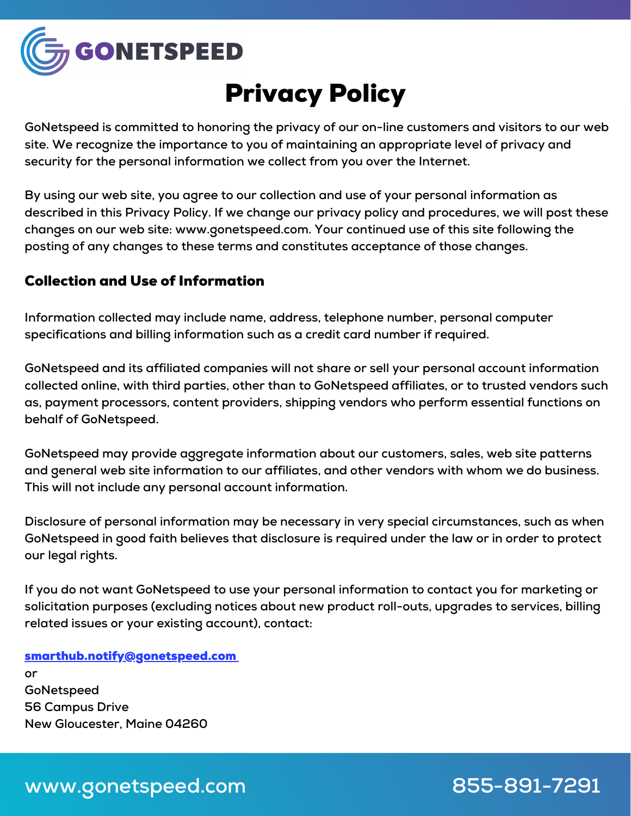

# Privacy Policy

**GoNetspeed is committed to honoring the privacy of our on-line customers and visitors to our web site. We recognize the importance to you of maintaining an appropriate level of privacy and security for the personal information we collect from you over the Internet.**

**By using our web site, you agree to our collection and use of your personal information as described in this Privacy Policy. If we change our privacy policy and procedures, we will post these changes on our web site: www.gonetspeed.com. Your continued use of this site following the posting of any changes to these terms and constitutes acceptance of those changes.**

### Collection and Use of Information

**Information collected may include name, address, telephone number, personal computer specifications and billing information such as a credit card number if required.**

**GoNetspeed and its affiliated companies will not share or sell your personal account information collected online, with third parties, other than to GoNetspeed affiliates, or to trusted vendors such as, payment processors, content providers, shipping vendors who perform essential functions on behalf of GoNetspeed.**

**GoNetspeed may provide aggregate information about our customers, sales, web site patterns and general web site information to our affiliates, and other vendors with whom we do business. This will not include any personal account information.**

**Disclosure of personal information may be necessary in very special circumstances, such as when GoNetspeed in good faith believes that disclosure is required under the law or in order to protect our legal rights.**

**If you do not want GoNetspeed to use your personal information to contact you for marketing or solicitation purposes (excluding notices about new product roll-outs, upgrades to services, billing related issues or your existing account), contact:**

smarthub.notify@gonetspeed.com **or GoNetspeed 56 Campus Drive New Gloucester, Maine 04260**

# **www.gonetspeed.com 855-891-7291**